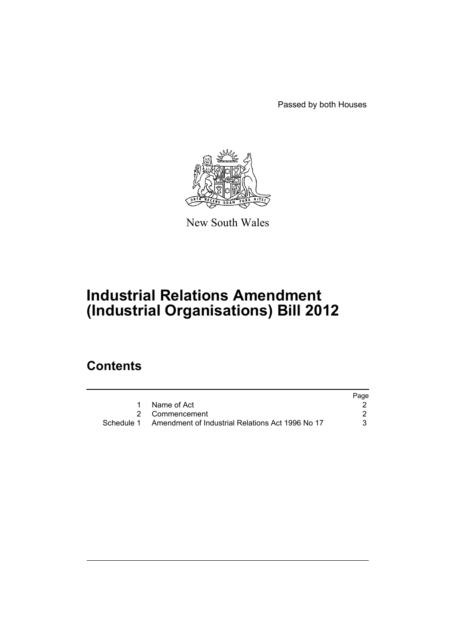Passed by both Houses



New South Wales

# **Industrial Relations Amendment (Industrial Organisations) Bill 2012**

# **Contents**

|            |                                                  | Page |
|------------|--------------------------------------------------|------|
|            | Name of Act                                      |      |
|            | 2 Commencement                                   |      |
| Schedule 1 | Amendment of Industrial Relations Act 1996 No 17 |      |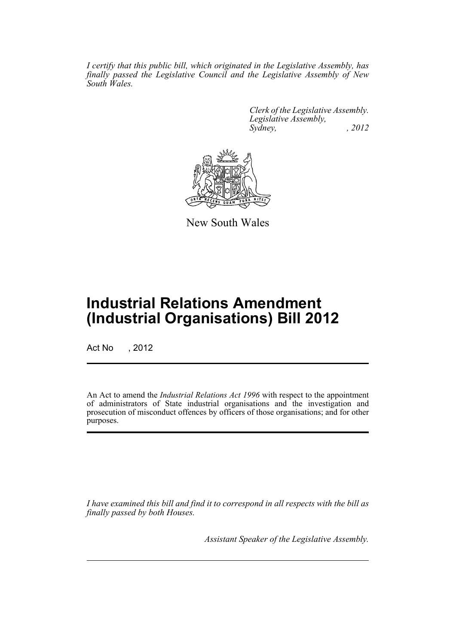*I certify that this public bill, which originated in the Legislative Assembly, has finally passed the Legislative Council and the Legislative Assembly of New South Wales.*

> *Clerk of the Legislative Assembly. Legislative Assembly, Sydney, , 2012*



New South Wales

# **Industrial Relations Amendment (Industrial Organisations) Bill 2012**

Act No , 2012

An Act to amend the *Industrial Relations Act 1996* with respect to the appointment of administrators of State industrial organisations and the investigation and prosecution of misconduct offences by officers of those organisations; and for other purposes.

*I have examined this bill and find it to correspond in all respects with the bill as finally passed by both Houses.*

*Assistant Speaker of the Legislative Assembly.*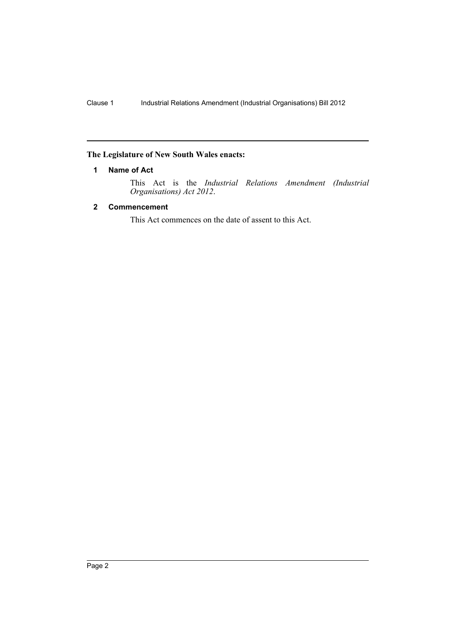# <span id="page-3-0"></span>**The Legislature of New South Wales enacts:**

# **1 Name of Act**

This Act is the *Industrial Relations Amendment (Industrial Organisations) Act 2012*.

# <span id="page-3-1"></span>**2 Commencement**

This Act commences on the date of assent to this Act.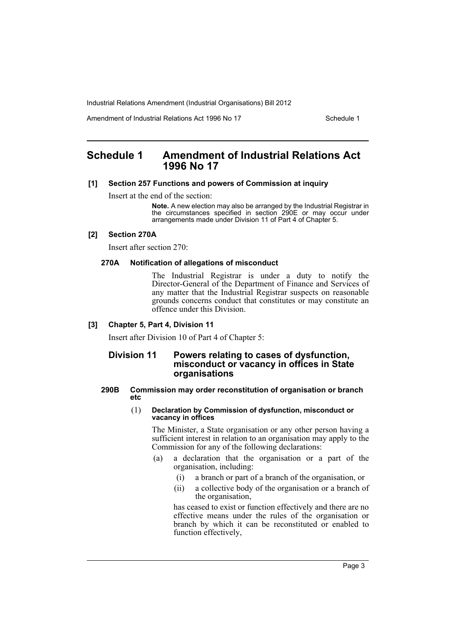Amendment of Industrial Relations Act 1996 No 17 Schedule 1

# <span id="page-4-0"></span>**Schedule 1 Amendment of Industrial Relations Act 1996 No 17**

### **[1] Section 257 Functions and powers of Commission at inquiry**

Insert at the end of the section:

**Note.** A new election may also be arranged by the Industrial Registrar in the circumstances specified in section 290E or may occur under arrangements made under Division 11 of Part 4 of Chapter 5.

#### **[2] Section 270A**

Insert after section 270:

#### **270A Notification of allegations of misconduct**

The Industrial Registrar is under a duty to notify the Director-General of the Department of Finance and Services of any matter that the Industrial Registrar suspects on reasonable grounds concerns conduct that constitutes or may constitute an offence under this Division.

#### **[3] Chapter 5, Part 4, Division 11**

Insert after Division 10 of Part 4 of Chapter 5:

# **Division 11 Powers relating to cases of dysfunction, misconduct or vacancy in offices in State organisations**

#### **290B Commission may order reconstitution of organisation or branch etc**

#### (1) **Declaration by Commission of dysfunction, misconduct or vacancy in offices**

The Minister, a State organisation or any other person having a sufficient interest in relation to an organisation may apply to the Commission for any of the following declarations:

- (a) a declaration that the organisation or a part of the organisation, including:
	- (i) a branch or part of a branch of the organisation, or
	- (ii) a collective body of the organisation or a branch of the organisation,

has ceased to exist or function effectively and there are no effective means under the rules of the organisation or branch by which it can be reconstituted or enabled to function effectively,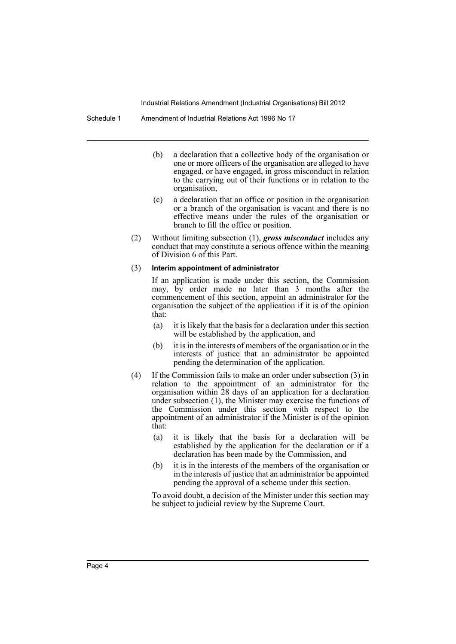- (b) a declaration that a collective body of the organisation or one or more officers of the organisation are alleged to have engaged, or have engaged, in gross misconduct in relation to the carrying out of their functions or in relation to the organisation,
- (c) a declaration that an office or position in the organisation or a branch of the organisation is vacant and there is no effective means under the rules of the organisation or branch to fill the office or position.
- (2) Without limiting subsection (1), *gross misconduct* includes any conduct that may constitute a serious offence within the meaning of Division 6 of this Part.

#### (3) **Interim appointment of administrator**

If an application is made under this section, the Commission may, by order made no later than 3 months after the commencement of this section, appoint an administrator for the organisation the subject of the application if it is of the opinion that:

- (a) it is likely that the basis for a declaration under this section will be established by the application, and
- (b) it is in the interests of members of the organisation or in the interests of justice that an administrator be appointed pending the determination of the application.
- (4) If the Commission fails to make an order under subsection (3) in relation to the appointment of an administrator for the organisation within 28 days of an application for a declaration under subsection (1), the Minister may exercise the functions of the Commission under this section with respect to the appointment of an administrator if the Minister is of the opinion that:
	- (a) it is likely that the basis for a declaration will be established by the application for the declaration or if a declaration has been made by the Commission, and
	- (b) it is in the interests of the members of the organisation or in the interests of justice that an administrator be appointed pending the approval of a scheme under this section.

To avoid doubt, a decision of the Minister under this section may be subject to judicial review by the Supreme Court.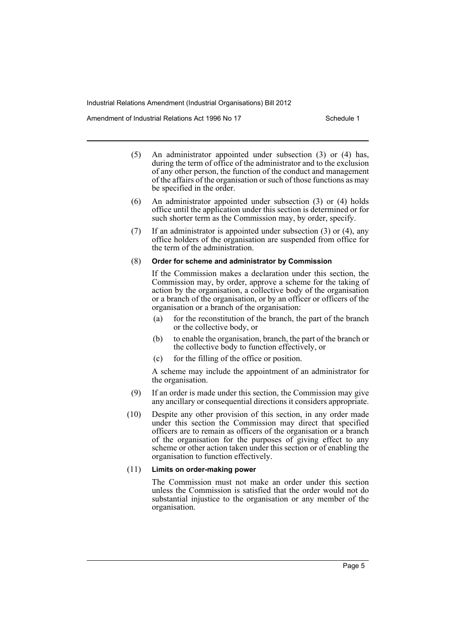Amendment of Industrial Relations Act 1996 No 17 Schedule 1

- (5) An administrator appointed under subsection (3) or (4) has, during the term of office of the administrator and to the exclusion of any other person, the function of the conduct and management of the affairs of the organisation or such of those functions as may be specified in the order.
- (6) An administrator appointed under subsection (3) or (4) holds office until the application under this section is determined or for such shorter term as the Commission may, by order, specify.
- (7) If an administrator is appointed under subsection (3) or (4), any office holders of the organisation are suspended from office for the term of the administration.

#### (8) **Order for scheme and administrator by Commission**

If the Commission makes a declaration under this section, the Commission may, by order, approve a scheme for the taking of action by the organisation, a collective body of the organisation or a branch of the organisation, or by an officer or officers of the organisation or a branch of the organisation:

- (a) for the reconstitution of the branch, the part of the branch or the collective body, or
- (b) to enable the organisation, branch, the part of the branch or the collective body to function effectively, or
- (c) for the filling of the office or position.

A scheme may include the appointment of an administrator for the organisation.

- (9) If an order is made under this section, the Commission may give any ancillary or consequential directions it considers appropriate.
- (10) Despite any other provision of this section, in any order made under this section the Commission may direct that specified officers are to remain as officers of the organisation or a branch of the organisation for the purposes of giving effect to any scheme or other action taken under this section or of enabling the organisation to function effectively.

#### (11) **Limits on order-making power**

The Commission must not make an order under this section unless the Commission is satisfied that the order would not do substantial injustice to the organisation or any member of the organisation.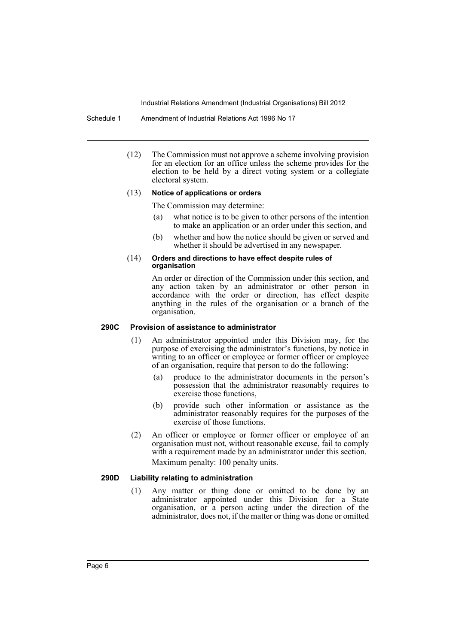#### Schedule 1 Amendment of Industrial Relations Act 1996 No 17

(12) The Commission must not approve a scheme involving provision for an election for an office unless the scheme provides for the election to be held by a direct voting system or a collegiate electoral system.

#### (13) **Notice of applications or orders**

The Commission may determine:

- (a) what notice is to be given to other persons of the intention to make an application or an order under this section, and
- (b) whether and how the notice should be given or served and whether it should be advertised in any newspaper.

#### (14) **Orders and directions to have effect despite rules of organisation**

An order or direction of the Commission under this section, and any action taken by an administrator or other person in accordance with the order or direction, has effect despite anything in the rules of the organisation or a branch of the organisation.

#### **290C Provision of assistance to administrator**

- (1) An administrator appointed under this Division may, for the purpose of exercising the administrator's functions, by notice in writing to an officer or employee or former officer or employee of an organisation, require that person to do the following:
	- (a) produce to the administrator documents in the person's possession that the administrator reasonably requires to exercise those functions,
	- (b) provide such other information or assistance as the administrator reasonably requires for the purposes of the exercise of those functions.
- (2) An officer or employee or former officer or employee of an organisation must not, without reasonable excuse, fail to comply with a requirement made by an administrator under this section. Maximum penalty: 100 penalty units.

#### **290D Liability relating to administration**

(1) Any matter or thing done or omitted to be done by an administrator appointed under this Division for a State organisation, or a person acting under the direction of the administrator, does not, if the matter or thing was done or omitted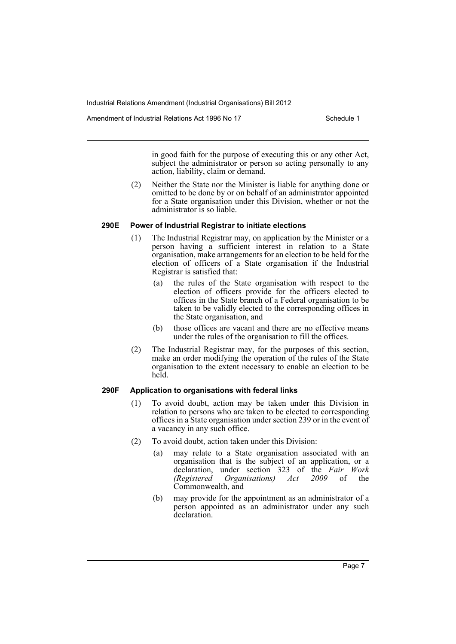Amendment of Industrial Relations Act 1996 No 17 Schedule 1

in good faith for the purpose of executing this or any other Act, subject the administrator or person so acting personally to any action, liability, claim or demand.

(2) Neither the State nor the Minister is liable for anything done or omitted to be done by or on behalf of an administrator appointed for a State organisation under this Division, whether or not the administrator is so liable.

#### **290E Power of Industrial Registrar to initiate elections**

- (1) The Industrial Registrar may, on application by the Minister or a person having a sufficient interest in relation to a State organisation, make arrangements for an election to be held for the election of officers of a State organisation if the Industrial Registrar is satisfied that:
	- (a) the rules of the State organisation with respect to the election of officers provide for the officers elected to offices in the State branch of a Federal organisation to be taken to be validly elected to the corresponding offices in the State organisation, and
	- (b) those offices are vacant and there are no effective means under the rules of the organisation to fill the offices.
- (2) The Industrial Registrar may, for the purposes of this section, make an order modifying the operation of the rules of the State organisation to the extent necessary to enable an election to be held.

# **290F Application to organisations with federal links**

- (1) To avoid doubt, action may be taken under this Division in relation to persons who are taken to be elected to corresponding offices in a State organisation under section 239 or in the event of a vacancy in any such office.
- (2) To avoid doubt, action taken under this Division:
	- (a) may relate to a State organisation associated with an organisation that is the subject of an application, or a declaration, under section 323 of the *Fair Work (Registered Organisations) Act 2009* of the Commonwealth, and
	- (b) may provide for the appointment as an administrator of a person appointed as an administrator under any such declaration.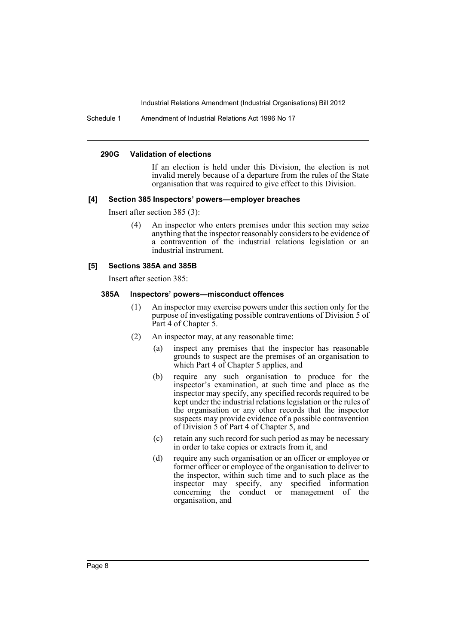Schedule 1 Amendment of Industrial Relations Act 1996 No 17

#### **290G Validation of elections**

If an election is held under this Division, the election is not invalid merely because of a departure from the rules of the State organisation that was required to give effect to this Division.

#### **[4] Section 385 Inspectors' powers—employer breaches**

Insert after section 385 (3):

An inspector who enters premises under this section may seize anything that the inspector reasonably considers to be evidence of a contravention of the industrial relations legislation or an industrial instrument.

#### **[5] Sections 385A and 385B**

Insert after section 385:

#### **385A Inspectors' powers—misconduct offences**

- (1) An inspector may exercise powers under this section only for the purpose of investigating possible contraventions of Division 5 of Part 4 of Chapter 5.
- (2) An inspector may, at any reasonable time:
	- (a) inspect any premises that the inspector has reasonable grounds to suspect are the premises of an organisation to which Part 4 of Chapter 5 applies, and
	- (b) require any such organisation to produce for the inspector's examination, at such time and place as the inspector may specify, any specified records required to be kept under the industrial relations legislation or the rules of the organisation or any other records that the inspector suspects may provide evidence of a possible contravention of Division 5 of Part 4 of Chapter 5, and
	- (c) retain any such record for such period as may be necessary in order to take copies or extracts from it, and
	- (d) require any such organisation or an officer or employee or former officer or employee of the organisation to deliver to the inspector, within such time and to such place as the inspector may specify, any specified information concerning the conduct or management of the organisation, and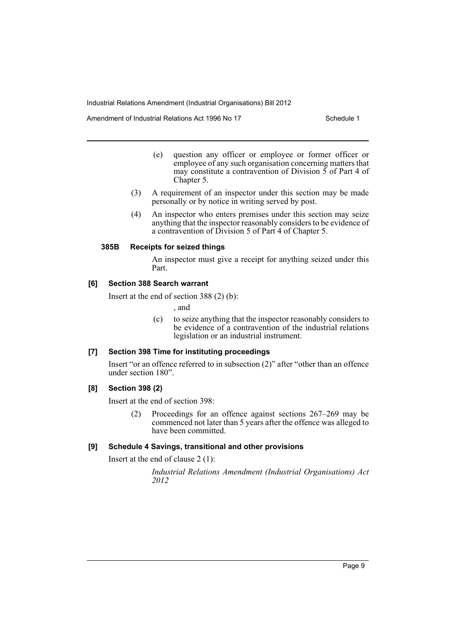Amendment of Industrial Relations Act 1996 No 17 Schedule 1

- (e) question any officer or employee or former officer or employee of any such organisation concerning matters that may constitute a contravention of Division 5 of Part 4 of Chapter 5.
- (3) A requirement of an inspector under this section may be made personally or by notice in writing served by post.
- (4) An inspector who enters premises under this section may seize anything that the inspector reasonably considers to be evidence of a contravention of Division 5 of Part 4 of Chapter 5.

### **385B Receipts for seized things**

An inspector must give a receipt for anything seized under this Part.

### **[6] Section 388 Search warrant**

Insert at the end of section 388 (2) (b):

, and

(c) to seize anything that the inspector reasonably considers to be evidence of a contravention of the industrial relations legislation or an industrial instrument.

# **[7] Section 398 Time for instituting proceedings**

Insert "or an offence referred to in subsection (2)" after "other than an offence under section 180".

# **[8] Section 398 (2)**

Insert at the end of section 398:

(2) Proceedings for an offence against sections 267–269 may be commenced not later than 5 years after the offence was alleged to have been committed.

# **[9] Schedule 4 Savings, transitional and other provisions**

Insert at the end of clause 2 (1):

*Industrial Relations Amendment (Industrial Organisations) Act 2012*